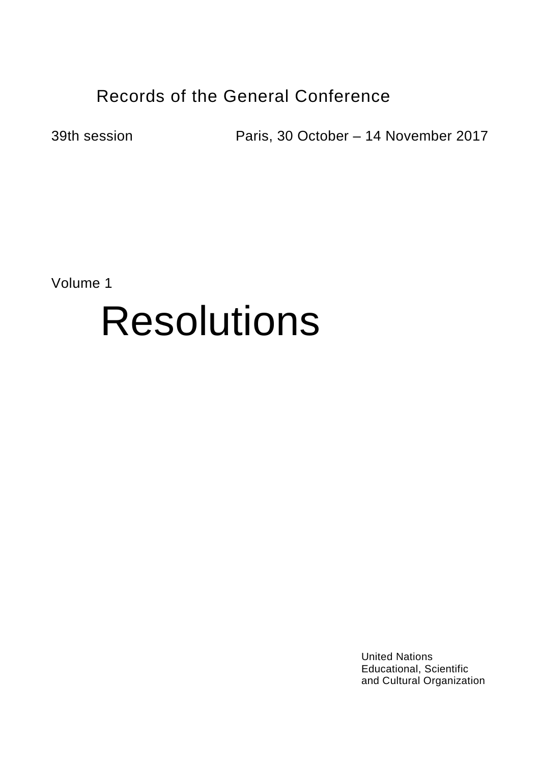## Records of the General Conference

39th session Paris, 30 October – 14 November 2017

Volume 1

## Resolutions

United Nations Educational, Scientific and Cultural Organization